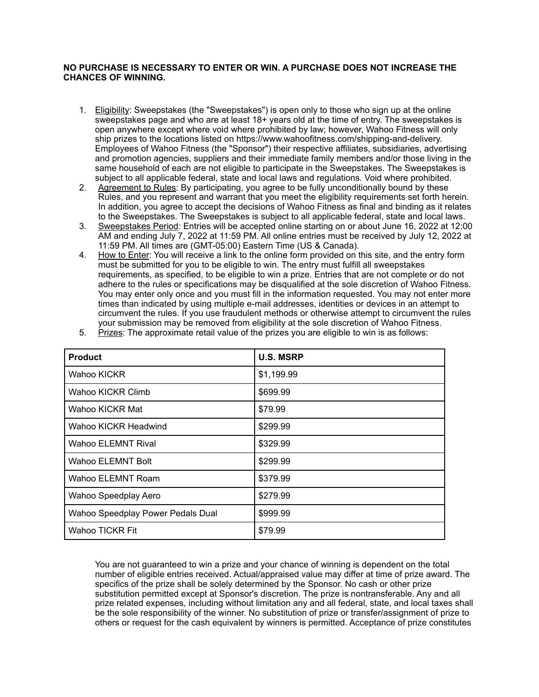## **NO PURCHASE IS NECESSARY TO ENTER OR WIN. A PURCHASE DOES NOT INCREASE THE CHANCES OF WINNING.**

- 1. Eligibility: Sweepstakes (the "Sweepstakes") is open only to those who sign up at the online sweepstakes page and who are at least 18+ years old at the time of entry. The sweepstakes is open anywhere except where void where prohibited by law; however, Wahoo Fitness will only ship prizes to the locations listed on https://www.wahoofitness.com/shipping-and-delivery. Employees of Wahoo Fitness (the "Sponsor") their respective affiliates, subsidiaries, advertising and promotion agencies, suppliers and their immediate family members and/or those living in the same household of each are not eligible to participate in the Sweepstakes. The Sweepstakes is subject to all applicable federal, state and local laws and regulations. Void where prohibited.
- 2. Agreement to Rules: By participating, you agree to be fully unconditionally bound by these Rules, and you represent and warrant that you meet the eligibility requirements set forth herein. In addition, you agree to accept the decisions of Wahoo Fitness as final and binding as it relates to the Sweepstakes. The Sweepstakes is subject to all applicable federal, state and local laws.
- 3. Sweepstakes Period: Entries will be accepted online starting on or about June 16, 2022 at 12:00 AM and ending July 7, 2022 at 11:59 PM. All online entries must be received by July 12, 2022 at 11:59 PM. All times are (GMT-05:00) Eastern Time (US & Canada).
- 4. How to Enter: You will receive a link to the online form provided on this site, and the entry form must be submitted for you to be eligible to win. The entry must fulfill all sweepstakes requirements, as specified, to be eligible to win a prize. Entries that are not complete or do not adhere to the rules or specifications may be disqualified at the sole discretion of Wahoo Fitness. You may enter only once and you must fill in the information requested. You may not enter more times than indicated by using multiple e-mail addresses, identities or devices in an attempt to circumvent the rules. If you use fraudulent methods or otherwise attempt to circumvent the rules your submission may be removed from eligibility at the sole discretion of Wahoo Fitness.
- 5. Prizes: The approximate retail value of the prizes you are eligible to win is as follows:

| <b>Product</b>                    | <b>U.S. MSRP</b> |
|-----------------------------------|------------------|
| <b>Wahoo KICKR</b>                | \$1,199.99       |
| Wahoo KICKR Climb                 | \$699.99         |
| Wahoo KICKR Mat                   | \$79.99          |
| Wahoo KICKR Headwind              | \$299.99         |
| Wahoo ELEMNT Rival                | \$329.99         |
| <b>Wahoo ELEMNT Bolt</b>          | \$299.99         |
| Wahoo ELEMNT Roam                 | \$379.99         |
| Wahoo Speedplay Aero              | \$279.99         |
| Wahoo Speedplay Power Pedals Dual | \$999.99         |
| <b>Wahoo TICKR Fit</b>            | \$79.99          |

You are not guaranteed to win a prize and your chance of winning is dependent on the total number of eligible entries received. Actual/appraised value may differ at time of prize award. The specifics of the prize shall be solely determined by the Sponsor. No cash or other prize substitution permitted except at Sponsor's discretion. The prize is nontransferable. Any and all prize related expenses, including without limitation any and all federal, state, and local taxes shall be the sole responsibility of the winner. No substitution of prize or transfer/assignment of prize to others or request for the cash equivalent by winners is permitted. Acceptance of prize constitutes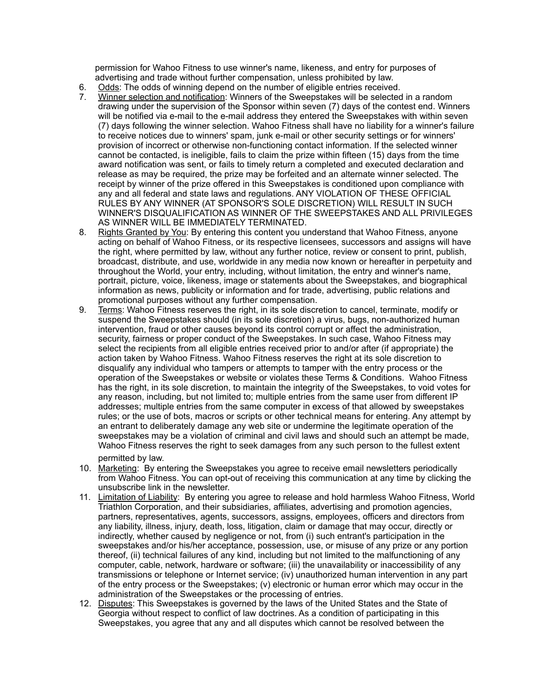permission for Wahoo Fitness to use winner's name, likeness, and entry for purposes of advertising and trade without further compensation, unless prohibited by law.

- 6. Odds: The odds of winning depend on the number of eligible entries received.<br>7. Winner selection and notification: Winners of the Sweepstakes will be selected
- Winner selection and notification: Winners of the Sweepstakes will be selected in a random drawing under the supervision of the Sponsor within seven (7) days of the contest end. Winners will be notified via e-mail to the e-mail address they entered the Sweepstakes with within seven (7) days following the winner selection. Wahoo Fitness shall have no liability for a winner's failure to receive notices due to winners' spam, junk e-mail or other security settings or for winners' provision of incorrect or otherwise non-functioning contact information. If the selected winner cannot be contacted, is ineligible, fails to claim the prize within fifteen (15) days from the time award notification was sent, or fails to timely return a completed and executed declaration and release as may be required, the prize may be forfeited and an alternate winner selected. The receipt by winner of the prize offered in this Sweepstakes is conditioned upon compliance with any and all federal and state laws and regulations. ANY VIOLATION OF THESE OFFICIAL RULES BY ANY WINNER (AT SPONSOR'S SOLE DISCRETION) WILL RESULT IN SUCH WINNER'S DISQUALIFICATION AS WINNER OF THE SWEEPSTAKES AND ALL PRIVILEGES AS WINNER WILL BE IMMEDIATELY TERMINATED.
- 8. Rights Granted by You: By entering this content you understand that Wahoo Fitness, anyone acting on behalf of Wahoo Fitness, or its respective licensees, successors and assigns will have the right, where permitted by law, without any further notice, review or consent to print, publish, broadcast, distribute, and use, worldwide in any media now known or hereafter in perpetuity and throughout the World, your entry, including, without limitation, the entry and winner's name, portrait, picture, voice, likeness, image or statements about the Sweepstakes, and biographical information as news, publicity or information and for trade, advertising, public relations and promotional purposes without any further compensation.
- 9. Terms: Wahoo Fitness reserves the right, in its sole discretion to cancel, terminate, modify or suspend the Sweepstakes should (in its sole discretion) a virus, bugs, non-authorized human intervention, fraud or other causes beyond its control corrupt or affect the administration, security, fairness or proper conduct of the Sweepstakes. In such case, Wahoo Fitness may select the recipients from all eligible entries received prior to and/or after (if appropriate) the action taken by Wahoo Fitness. Wahoo Fitness reserves the right at its sole discretion to disqualify any individual who tampers or attempts to tamper with the entry process or the operation of the Sweepstakes or website or violates these Terms & Conditions. Wahoo Fitness has the right, in its sole discretion, to maintain the integrity of the Sweepstakes, to void votes for any reason, including, but not limited to; multiple entries from the same user from different IP addresses; multiple entries from the same computer in excess of that allowed by sweepstakes rules; or the use of bots, macros or scripts or other technical means for entering. Any attempt by an entrant to deliberately damage any web site or undermine the legitimate operation of the sweepstakes may be a violation of criminal and civil laws and should such an attempt be made, Wahoo Fitness reserves the right to seek damages from any such person to the fullest extent

permitted by law.

- 10. Marketing: By entering the Sweepstakes you agree to receive email newsletters periodically from Wahoo Fitness. You can opt-out of receiving this communication at any time by clicking the unsubscribe link in the newsletter.
- 11. Limitation of Liability: By entering you agree to release and hold harmless Wahoo Fitness, World Triathlon Corporation, and their subsidiaries, affiliates, advertising and promotion agencies, partners, representatives, agents, successors, assigns, employees, officers and directors from any liability, illness, injury, death, loss, litigation, claim or damage that may occur, directly or indirectly, whether caused by negligence or not, from (i) such entrant's participation in the sweepstakes and/or his/her acceptance, possession, use, or misuse of any prize or any portion thereof, (ii) technical failures of any kind, including but not limited to the malfunctioning of any computer, cable, network, hardware or software; (iii) the unavailability or inaccessibility of any transmissions or telephone or Internet service; (iv) unauthorized human intervention in any part of the entry process or the Sweepstakes; (v) electronic or human error which may occur in the administration of the Sweepstakes or the processing of entries.
- 12. Disputes: This Sweepstakes is governed by the laws of the United States and the State of Georgia without respect to conflict of law doctrines. As a condition of participating in this Sweepstakes, you agree that any and all disputes which cannot be resolved between the